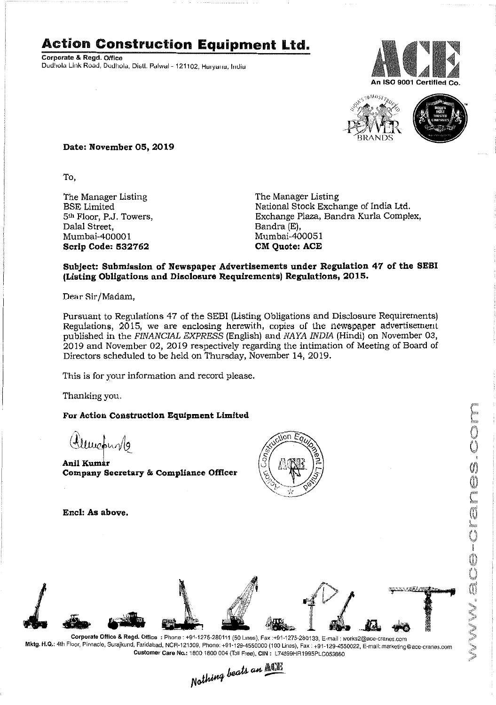### **Action Construction Equipment Ltd.**

Corporate & Regd. Office Dudhola Link Road, Dudhola, Distl. Palwal - 121102, Haryana, India





NV.acranes.com

**Date: November 05,2019**

To,

The Manager Listing BSE Limited 5th Floor, P.J. Towers, Dalal Street, Mumbai-40000 1 **Scrip Code: 532762**

The Manager Listing National Stock Exchange of India Ltd. Exchange Plaza, Bandra Kurla Complex, Bandra (E), Mumbai-400051 **eM Quote: ACE**

#### **Subject: Submission of Newspaper Advertisements under Regulation 47 of the SEBI (Listing Obligations and Disolosure Requirements) Regulations, 2015.**

Dear Sir/Madam,

Pursuant to Regulations 47 of the SEB! (Listing Obligations and Disclosure Requirements) Regulations, 2015, we are enclosing herewith, copies of the newspaper advertisement published in the *FINANCIAL EXPRESS* (English) and *NAYA INDIA* (Hindi) on November 03, 2019 and November 02, 2019 respectively regarding the intimation of Meeting of Board of Directors scheduled to be held on Thursday, November 14,2019.

This is for your information and record please.

Thanking you.

#### **For Action Construction Equipment Limited**

 $\frac{2u}{\sqrt{2}}$ 

**AnU Kum Company Secretary & Compliance Officer** 



**Encl: As above.**



Mktg. H.Q.: 4th Floor, Pinnacle, Surajkund, Faridabad, NCR-121009, Phone: +91·129-4550000 (100 Lines), Fax: +91-129-4550022, E-mail:marketing@ace-cranes.com

Customer Care No.: 1800 1800 004 (Toll Free). CIN: L74899HR1995PLC053860<br>Nathing beats an  $\frac{\mathbb{R} \cdot \mathbb{R}^2}{2}$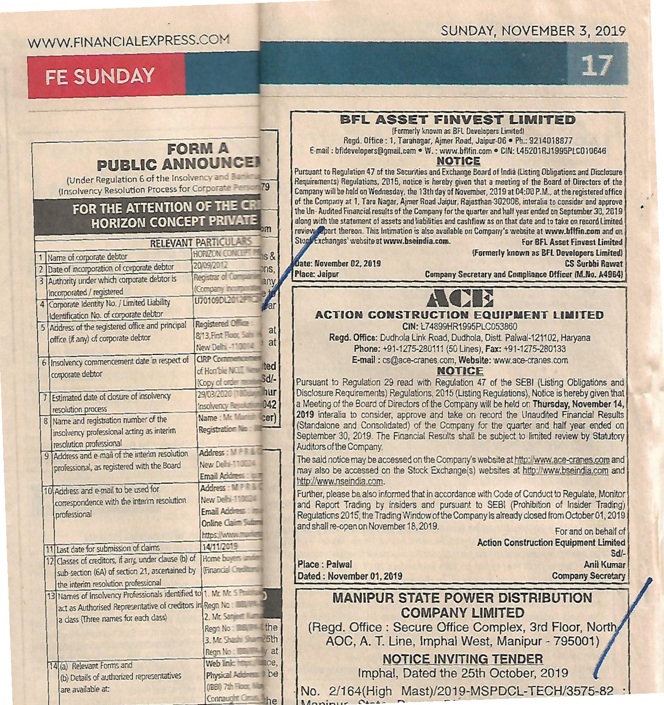#### WWW.FINANCIALEXPRESS.COM

## **FE SUNDAY** 17

| <b>FORM A</b><br><b>PUBLIC ANNOUNCE!</b><br>(Under Regulation 6 of the Insolvency and Bart<br>(Insolvency Resolution Process for Corporate Person 79<br>FOR THE ATTENTION OF THE CR<br><b>HORIZON CONCEPT PRIVATE</b><br>$-$<br><b>RELEVANT PARTICULARS</b><br><b>HORIZON CONCEPT</b><br>$s$ & |                             |             | <b>BFL ASSET FINVEST LIMITED</b><br>(Formerly known as BFL Developers Limited)<br>Regd. Office: 1, Tarahagar, Ajmer Road, Jaipur-06 · Ph.: 9214018877<br>E-mail: bfldevelopers@gmail.com . W.: www.bflfin.com . CIN: L45201RJ1995PLC010646<br><b>NOTICE</b><br>Pursuant to Regulation 47 of the Securities and Exchange Board of India (Listing Obligations and Disclosure<br>Requirements) Regulations, 2015, notice is hereby given that a meeting of the Board of Directors of the<br>Company will be held on Wednesday, the 13th day of November, 2019 at 04:00 P.M., at the registered office<br>of the Company at 1, Tara Nagar, Aimer Road Jaipur, Rajasthan-302006, interalia to consider and approve<br>the Un-Audited Financial results of the Company for the quarter and half year ended on September 30, 2019<br>along with the statement of assets and liabilities and cashflow as on that date and to take on record Limited<br>review eport thereon. This Intimation is also available on Company's website at www.bflfin.com and on<br>Stock Exchanges' website at www.bseindia.com.<br><b>For BFL Asset Finvest Limited</b><br>(Formerly known as BFL Developers Limited) |
|------------------------------------------------------------------------------------------------------------------------------------------------------------------------------------------------------------------------------------------------------------------------------------------------|-----------------------------|-------------|---------------------------------------------------------------------------------------------------------------------------------------------------------------------------------------------------------------------------------------------------------------------------------------------------------------------------------------------------------------------------------------------------------------------------------------------------------------------------------------------------------------------------------------------------------------------------------------------------------------------------------------------------------------------------------------------------------------------------------------------------------------------------------------------------------------------------------------------------------------------------------------------------------------------------------------------------------------------------------------------------------------------------------------------------------------------------------------------------------------------------------------------------------------------------------------------|
| Name of corporate debtor<br>Date of incorporation of corporate debtor                                                                                                                                                                                                                          | 20/09/2012                  | ons.        | Date: November 02, 2019<br><b>CS Surbhi Rawat</b>                                                                                                                                                                                                                                                                                                                                                                                                                                                                                                                                                                                                                                                                                                                                                                                                                                                                                                                                                                                                                                                                                                                                           |
| Authority under which corporate debtor is<br>$\overline{3}$                                                                                                                                                                                                                                    | Registrar of Con            | anv         | <b>Place: Jaipur</b><br>Company Secretary and Compliance Officer (M.No. A4964)                                                                                                                                                                                                                                                                                                                                                                                                                                                                                                                                                                                                                                                                                                                                                                                                                                                                                                                                                                                                                                                                                                              |
| incorporated / registered                                                                                                                                                                                                                                                                      | (Company in                 |             |                                                                                                                                                                                                                                                                                                                                                                                                                                                                                                                                                                                                                                                                                                                                                                                                                                                                                                                                                                                                                                                                                                                                                                                             |
| Corporate Identity No. / Limited Liability<br>$\overline{4}$                                                                                                                                                                                                                                   | U70109DL20                  | <b>v</b> ar |                                                                                                                                                                                                                                                                                                                                                                                                                                                                                                                                                                                                                                                                                                                                                                                                                                                                                                                                                                                                                                                                                                                                                                                             |
| Identification No. of corporate debtor                                                                                                                                                                                                                                                         |                             |             | <b>ACTION CONSTRUCTION EQUIPMENT LIMITED</b>                                                                                                                                                                                                                                                                                                                                                                                                                                                                                                                                                                                                                                                                                                                                                                                                                                                                                                                                                                                                                                                                                                                                                |
| Address of the registered office and principal<br>5                                                                                                                                                                                                                                            | <b>Registered Office</b>    |             | CIN: L74899HR1995PLC053860                                                                                                                                                                                                                                                                                                                                                                                                                                                                                                                                                                                                                                                                                                                                                                                                                                                                                                                                                                                                                                                                                                                                                                  |
| office (if any) of corporate debtor                                                                                                                                                                                                                                                            | 8/13, First Floor, Sahi     | at          | Regd. Office: Dudhola Link Road, Dudhola, Distt. Palwal-121102, Haryana                                                                                                                                                                                                                                                                                                                                                                                                                                                                                                                                                                                                                                                                                                                                                                                                                                                                                                                                                                                                                                                                                                                     |
|                                                                                                                                                                                                                                                                                                | New Delhi -110014           | at          | Phone: +91-1275-280111 (50 Lines), Fax: +91-1275-280133                                                                                                                                                                                                                                                                                                                                                                                                                                                                                                                                                                                                                                                                                                                                                                                                                                                                                                                                                                                                                                                                                                                                     |
| 6 Insolvency commencement date in respect of                                                                                                                                                                                                                                                   | <b>CIRP Comment</b>         |             | E-mail: cs@ace-cranes.com, Website: www.ace-cranes.com                                                                                                                                                                                                                                                                                                                                                                                                                                                                                                                                                                                                                                                                                                                                                                                                                                                                                                                                                                                                                                                                                                                                      |
| corporate debtor                                                                                                                                                                                                                                                                               | of Hon'ble NCLE             | ted         | <b>NOTICE</b>                                                                                                                                                                                                                                                                                                                                                                                                                                                                                                                                                                                                                                                                                                                                                                                                                                                                                                                                                                                                                                                                                                                                                                               |
|                                                                                                                                                                                                                                                                                                | (Copy of order re           | Sd/-        | Pursuant to Regulation 29 read with Regulation 47 of the SEBI (Listing Obligations and                                                                                                                                                                                                                                                                                                                                                                                                                                                                                                                                                                                                                                                                                                                                                                                                                                                                                                                                                                                                                                                                                                      |
| Estimated date of closure of insolvency                                                                                                                                                                                                                                                        | 29/03/2020 18               | hur         | Disclosure Requirements) Requlations, 2015 (Listing Regulations), Notice is hereby given that                                                                                                                                                                                                                                                                                                                                                                                                                                                                                                                                                                                                                                                                                                                                                                                                                                                                                                                                                                                                                                                                                               |
| resolution process                                                                                                                                                                                                                                                                             | Insolvency Reso             | 042         | a Meeting of the Board of Directors of the Company will be held on Thursday, November 14,                                                                                                                                                                                                                                                                                                                                                                                                                                                                                                                                                                                                                                                                                                                                                                                                                                                                                                                                                                                                                                                                                                   |
| 8 Name and registration number of the                                                                                                                                                                                                                                                          | Name: Mr. Man               | cer)        | 2019 interalia to consider, approve and take on record the Unaudited Financial Results<br>(Standalone and Consolidated) of the Company for the quarter and half year ended on                                                                                                                                                                                                                                                                                                                                                                                                                                                                                                                                                                                                                                                                                                                                                                                                                                                                                                                                                                                                               |
| insolvency professional acting as interim                                                                                                                                                                                                                                                      | <b>Registration Nig.</b>    |             | September 30, 2019. The Financial Results shall be subject to limited review by Statutory                                                                                                                                                                                                                                                                                                                                                                                                                                                                                                                                                                                                                                                                                                                                                                                                                                                                                                                                                                                                                                                                                                   |
| resolution professional                                                                                                                                                                                                                                                                        |                             |             | Auditors of the Company.                                                                                                                                                                                                                                                                                                                                                                                                                                                                                                                                                                                                                                                                                                                                                                                                                                                                                                                                                                                                                                                                                                                                                                    |
| 9 Address and e-mail of the interim resolution                                                                                                                                                                                                                                                 | Address: MPP                |             | The said notice may be accessed on the Company's website at http://www.ace-cranes.com and                                                                                                                                                                                                                                                                                                                                                                                                                                                                                                                                                                                                                                                                                                                                                                                                                                                                                                                                                                                                                                                                                                   |
| professional, as registered with the Board                                                                                                                                                                                                                                                     | New Delhi-110004            |             | may also be accessed on the Stock Exchange(s) websites at http://www.bseindia.com and                                                                                                                                                                                                                                                                                                                                                                                                                                                                                                                                                                                                                                                                                                                                                                                                                                                                                                                                                                                                                                                                                                       |
|                                                                                                                                                                                                                                                                                                | Email Address: USIT         |             | http://www.nseindia.com.                                                                                                                                                                                                                                                                                                                                                                                                                                                                                                                                                                                                                                                                                                                                                                                                                                                                                                                                                                                                                                                                                                                                                                    |
| 10 Address and e-mail to be used for                                                                                                                                                                                                                                                           | Address : MPP               |             | Further, please be also informed that in accordance with Code of Conduct to Regulate, Monitor                                                                                                                                                                                                                                                                                                                                                                                                                                                                                                                                                                                                                                                                                                                                                                                                                                                                                                                                                                                                                                                                                               |
| correspondence with the interim resolution                                                                                                                                                                                                                                                     | New Delhi-110004            |             | and Report Trading by insiders and pursuant to SEBI (Prohibition of Insider Trading)                                                                                                                                                                                                                                                                                                                                                                                                                                                                                                                                                                                                                                                                                                                                                                                                                                                                                                                                                                                                                                                                                                        |
| professional                                                                                                                                                                                                                                                                                   | Email Address               |             | Requlations 2015, the Trading Window of the Company is already closed from October 01, 2019                                                                                                                                                                                                                                                                                                                                                                                                                                                                                                                                                                                                                                                                                                                                                                                                                                                                                                                                                                                                                                                                                                 |
|                                                                                                                                                                                                                                                                                                | <b>Online Claim Sulting</b> |             | and shall re-open on November 18, 2019.<br>For and on behalf of                                                                                                                                                                                                                                                                                                                                                                                                                                                                                                                                                                                                                                                                                                                                                                                                                                                                                                                                                                                                                                                                                                                             |
|                                                                                                                                                                                                                                                                                                | https://www.mar             |             | <b>Action Construction Equipment Limited</b>                                                                                                                                                                                                                                                                                                                                                                                                                                                                                                                                                                                                                                                                                                                                                                                                                                                                                                                                                                                                                                                                                                                                                |
| 11 Last date for submission of claims                                                                                                                                                                                                                                                          | 14/11/2019                  |             | Sd/-                                                                                                                                                                                                                                                                                                                                                                                                                                                                                                                                                                                                                                                                                                                                                                                                                                                                                                                                                                                                                                                                                                                                                                                        |
| 12 Classes of creditors, if any, under clause (b) of Home buyers and                                                                                                                                                                                                                           | (Financial Credito          |             | Place : Palwal<br><b>Anil Kumar</b>                                                                                                                                                                                                                                                                                                                                                                                                                                                                                                                                                                                                                                                                                                                                                                                                                                                                                                                                                                                                                                                                                                                                                         |
| sub-section (6A) of section 21, ascertained by                                                                                                                                                                                                                                                 |                             |             | <b>Company Secretary</b><br>Dated: November 01, 2019                                                                                                                                                                                                                                                                                                                                                                                                                                                                                                                                                                                                                                                                                                                                                                                                                                                                                                                                                                                                                                                                                                                                        |
| the interim resolution professional<br>13 Names of Insolvency Professionals identified to 1. Mr. Mr. S. Phill                                                                                                                                                                                  |                             |             |                                                                                                                                                                                                                                                                                                                                                                                                                                                                                                                                                                                                                                                                                                                                                                                                                                                                                                                                                                                                                                                                                                                                                                                             |
| act as Authorised Representative of creditors in Regn No:                                                                                                                                                                                                                                      |                             |             | <b>MANIPUR STATE POWER DISTRIBUTION</b>                                                                                                                                                                                                                                                                                                                                                                                                                                                                                                                                                                                                                                                                                                                                                                                                                                                                                                                                                                                                                                                                                                                                                     |
| 2. Mr. Sanjeer<br>a dass (Three names for each dass)                                                                                                                                                                                                                                           |                             |             | <b>COMPANY LIMITED</b>                                                                                                                                                                                                                                                                                                                                                                                                                                                                                                                                                                                                                                                                                                                                                                                                                                                                                                                                                                                                                                                                                                                                                                      |
|                                                                                                                                                                                                                                                                                                | Regn No: EE H the           |             | (Regd. Office: Secure Office Complex, 3rd Floor, North                                                                                                                                                                                                                                                                                                                                                                                                                                                                                                                                                                                                                                                                                                                                                                                                                                                                                                                                                                                                                                                                                                                                      |
|                                                                                                                                                                                                                                                                                                | 3. Mr. Shashi Shum 25th     |             | AOC, A. T. Line, Imphal West, Manipur - 795001)                                                                                                                                                                                                                                                                                                                                                                                                                                                                                                                                                                                                                                                                                                                                                                                                                                                                                                                                                                                                                                                                                                                                             |
|                                                                                                                                                                                                                                                                                                | Regn No: EBI - y at         |             |                                                                                                                                                                                                                                                                                                                                                                                                                                                                                                                                                                                                                                                                                                                                                                                                                                                                                                                                                                                                                                                                                                                                                                                             |
| 14(a) Relevant Forms and                                                                                                                                                                                                                                                                       | Web link: https:            | mce.        | <b>NOTICE INVITING TENDER</b>                                                                                                                                                                                                                                                                                                                                                                                                                                                                                                                                                                                                                                                                                                                                                                                                                                                                                                                                                                                                                                                                                                                                                               |
| (b) Details of authorized representatives                                                                                                                                                                                                                                                      | Physical Address I be       |             | Imphal, Dated the 25th October, 2019                                                                                                                                                                                                                                                                                                                                                                                                                                                                                                                                                                                                                                                                                                                                                                                                                                                                                                                                                                                                                                                                                                                                                        |
| are available at:                                                                                                                                                                                                                                                                              | (IBBI) 7th Floor, IIIIan    |             | No. 2/164(High Mast)/2019-MSPDCL-TECH/3575-82                                                                                                                                                                                                                                                                                                                                                                                                                                                                                                                                                                                                                                                                                                                                                                                                                                                                                                                                                                                                                                                                                                                                               |
|                                                                                                                                                                                                                                                                                                | Connaught Circle the        |             |                                                                                                                                                                                                                                                                                                                                                                                                                                                                                                                                                                                                                                                                                                                                                                                                                                                                                                                                                                                                                                                                                                                                                                                             |